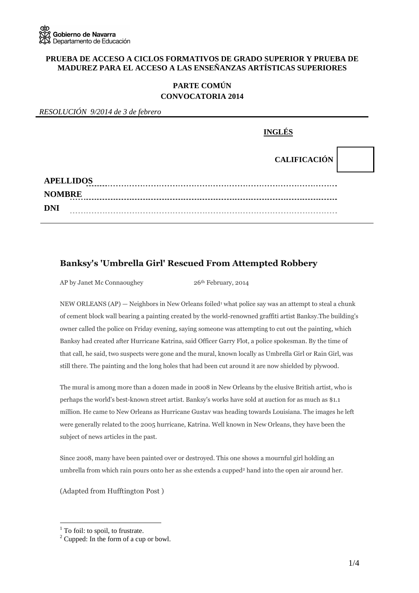#### **PRUEBA DE ACCESO A CICLOS FORMATIVOS DE GRADO SUPERIOR Y PRUEBA DE MADUREZ PARA EL ACCESO A LAS ENSEÑANZAS ARTÍSTICAS SUPERIORES**

## **PARTE COMÚN CONVOCATORIA 2014**

*RESOLUCIÓN 9/2014 de 3 de febrero* 

|                  | <b>INGLÉS</b>       |  |
|------------------|---------------------|--|
|                  | <b>CALIFICACIÓN</b> |  |
| <b>APELLIDOS</b> |                     |  |
| <b>NOMBRE</b>    |                     |  |
| <b>DNI</b>       |                     |  |

## **Banksy's 'Umbrella Girl' Rescued From Attempted Robbery**

AP by Janet Mc Connaoughey 26<sup>th</sup> February, 2014

NEW ORLEANS (AP) — Neighbors in New Orleans foiled<sup>1</sup> what police say was an attempt to steal a chunk of cement block wall bearing a painting created by the world-renowned graffiti artist Banksy.The building's owner called the police on Friday evening, saying someone was attempting to cut out the painting, which Banksy had created after Hurricane Katrina, said Officer Garry Flot, a police spokesman. By the time of that call, he said, two suspects were gone and the mural, known locally as Umbrella Girl or Rain Girl, was still there. The painting and the long holes that had been cut around it are now shielded by plywood.

The mural is among more than a dozen made in 2008 in New Orleans by the elusive British artist, who is perhaps the world's best-known street artist. Banksy's works have sold at auction for as much as \$1.1 million. He came to New Orleans as Hurricane Gustav was heading towards Louisiana. The images he left were generally related to the 2005 hurricane, Katrina. Well known in New Orleans, they have been the subject of news articles in the past.

Since 2008, many have been painted over or destroyed. This one shows a mournful girl holding an umbrella from which rain pours onto her as she extends a cupped<sup>2</sup> hand into the open air around her.

(Adapted from Hufftington Post )

 $\overline{a}$ 

<sup>&</sup>lt;sup>1</sup> To foil: to spoil, to frustrate.

<sup>&</sup>lt;sup>2</sup> Cupped: In the form of a cup or bowl.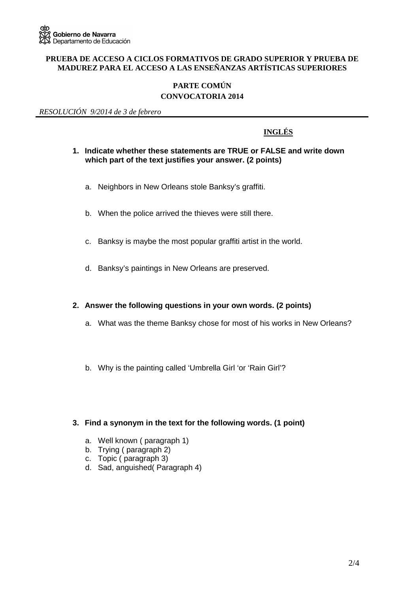#### **PRUEBA DE ACCESO A CICLOS FORMATIVOS DE GRADO SUPERIOR Y PRUEBA DE MADUREZ PARA EL ACCESO A LAS ENSEÑANZAS ARTÍSTICAS SUPERIORES**

# **PARTE COMÚN**

### **CONVOCATORIA 2014**

*RESOLUCIÓN 9/2014 de 3 de febrero* 

## **INGLÉS**

#### **1. Indicate whether these statements are TRUE or FALSE and write down which part of the text justifies your answer. (2 points)**

- a. Neighbors in New Orleans stole Banksy's graffiti.
- b. When the police arrived the thieves were still there.
- c. Banksy is maybe the most popular graffiti artist in the world.
- d. Banksy's paintings in New Orleans are preserved.

#### **2. Answer the following questions in your own words. (2 points)**

- a. What was the theme Banksy chose for most of his works in New Orleans?
- b. Why is the painting called 'Umbrella Girl 'or 'Rain Girl'?

#### **3. Find a synonym in the text for the following words. (1 point)**

- a. Well known ( paragraph 1)
- b. Trying ( paragraph 2)
- c. Topic ( paragraph 3)
- d. Sad, anguished( Paragraph 4)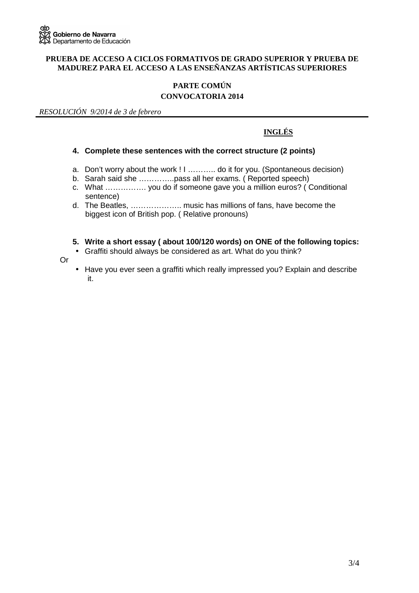#### **PRUEBA DE ACCESO A CICLOS FORMATIVOS DE GRADO SUPERIOR Y PRUEBA DE MADUREZ PARA EL ACCESO A LAS ENSEÑANZAS ARTÍSTICAS SUPERIORES**

## **PARTE COMÚN**

## **CONVOCATORIA 2014**

*RESOLUCIÓN 9/2014 de 3 de febrero* 

## **INGLÉS**

#### **4. Complete these sentences with the correct structure (2 points)**

- a. Don't worry about the work ! I ……….. do it for you. (Spontaneous decision)
- b. Sarah said she …………..pass all her exams. ( Reported speech)
- c. What ……………. you do if someone gave you a million euros? ( Conditional sentence)
- d. The Beatles, ……………….. music has millions of fans, have become the biggest icon of British pop. ( Relative pronouns)
- **5. Write a short essay ( about 100/120 words) on ONE of the following topics:**
- Graffiti should always be considered as art. What do you think?
- Or
- Have you ever seen a graffiti which really impressed you? Explain and describe it.